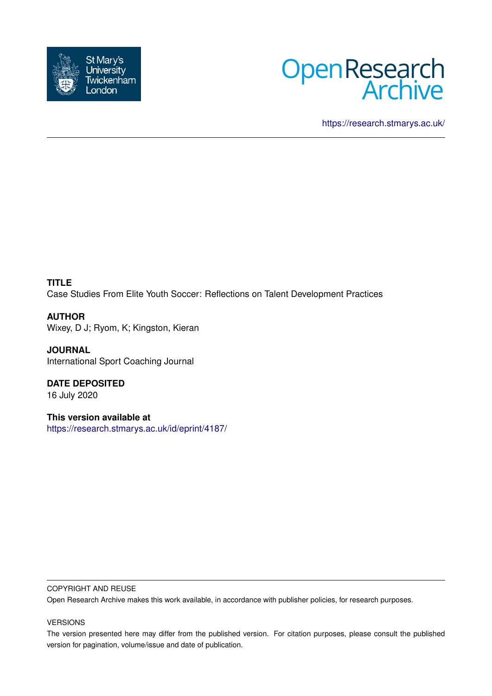



<https://research.stmarys.ac.uk/>

**TITLE** Case Studies From Elite Youth Soccer: Reflections on Talent Development Practices

**AUTHOR** Wixey, D J; Ryom, K; Kingston, Kieran

**JOURNAL** International Sport Coaching Journal

**DATE DEPOSITED** 16 July 2020

**This version available at** <https://research.stmarys.ac.uk/id/eprint/4187/>

# COPYRIGHT AND REUSE

Open Research Archive makes this work available, in accordance with publisher policies, for research purposes.

# VERSIONS

The version presented here may differ from the published version. For citation purposes, please consult the published version for pagination, volume/issue and date of publication.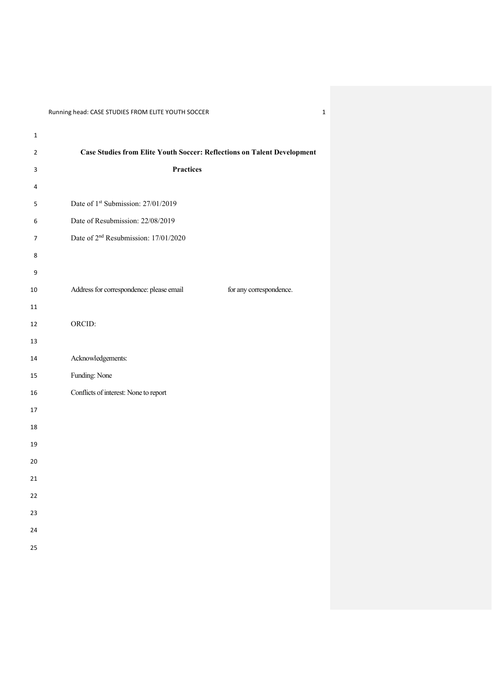| $\mathbf 1$    |                                                                                |
|----------------|--------------------------------------------------------------------------------|
| $\overline{2}$ | <b>Case Studies from Elite Youth Soccer: Reflections on Talent Development</b> |
| $\mathbf{3}$   | <b>Practices</b>                                                               |
| $\overline{4}$ |                                                                                |
| 5              | Date of 1st Submission: 27/01/2019                                             |
| 6              | Date of Resubmission: 22/08/2019                                               |
| $\overline{7}$ | Date of 2 <sup>nd</sup> Resubmission: 17/01/2020                               |
| 8              |                                                                                |
| 9              |                                                                                |
| 10             | Address for correspondence: please email<br>for any correspondence.            |
| 11             |                                                                                |
| 12             | ORCID:                                                                         |
| 13             |                                                                                |
| 14             | Acknowledgements:                                                              |
| 15             | Funding: None                                                                  |
| 16             | Conflicts of interest: None to report                                          |
| 17             |                                                                                |
| 18             |                                                                                |
| 19             |                                                                                |
| 20             |                                                                                |
| 21             |                                                                                |
| 22             |                                                                                |
| 23             |                                                                                |
| 24             |                                                                                |
| 25             |                                                                                |
|                |                                                                                |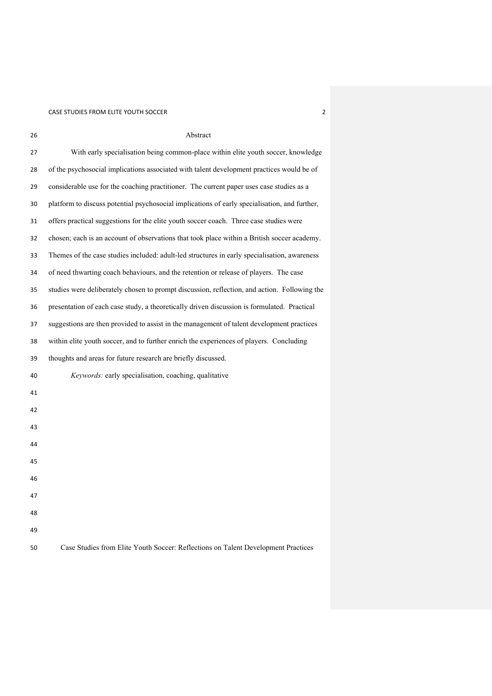| 26 | Abstract                                                                                      |
|----|-----------------------------------------------------------------------------------------------|
| 27 | With early specialisation being common-place within elite youth soccer, knowledge             |
| 28 | of the psychosocial implications associated with talent development practices would be of     |
| 29 | considerable use for the coaching practitioner. The current paper uses case studies as a      |
| 30 | platform to discuss potential psychosocial implications of early specialisation, and further, |
| 31 | offers practical suggestions for the elite youth soccer coach. Three case studies were        |
| 32 | chosen; each is an account of observations that took place within a British soccer academy.   |
| 33 | Themes of the case studies included: adult-led structures in early specialisation, awareness  |
| 34 | of need thwarting coach behaviours, and the retention or release of players. The case         |
| 35 | studies were deliberately chosen to prompt discussion, reflection, and action. Following the  |
| 36 | presentation of each case study, a theoretically driven discussion is formulated. Practical   |
| 37 | suggestions are then provided to assist in the management of talent development practices     |
| 38 | within elite youth soccer, and to further enrich the experiences of players. Concluding       |
| 39 | thoughts and areas for future research are briefly discussed.                                 |
| 40 | Keywords: early specialisation, coaching, qualitative                                         |
| 41 |                                                                                               |
| 42 |                                                                                               |
| 43 |                                                                                               |
| 44 |                                                                                               |
| 45 |                                                                                               |
| 46 |                                                                                               |
| 47 |                                                                                               |
| 48 |                                                                                               |
| 49 |                                                                                               |
| 50 | Case Studies from Elite Youth Soccer: Reflections on Talent Development Practices             |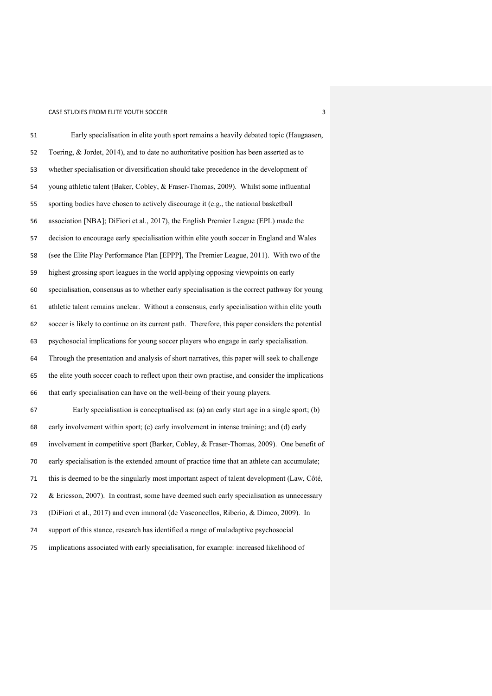| 51 | Early specialisation in elite youth sport remains a heavily debated topic (Haugaasen,           |
|----|-------------------------------------------------------------------------------------------------|
| 52 | Toering, & Jordet, 2014), and to date no authoritative position has been asserted as to         |
| 53 | whether specialisation or diversification should take precedence in the development of          |
| 54 | young athletic talent (Baker, Cobley, & Fraser-Thomas, 2009). Whilst some influential           |
| 55 | sporting bodies have chosen to actively discourage it (e.g., the national basketball            |
| 56 | association [NBA]; DiFiori et al., 2017), the English Premier League (EPL) made the             |
| 57 | decision to encourage early specialisation within elite youth soccer in England and Wales       |
| 58 | (see the Elite Play Performance Plan [EPPP], The Premier League, 2011). With two of the         |
| 59 | highest grossing sport leagues in the world applying opposing viewpoints on early               |
| 60 | specialisation, consensus as to whether early specialisation is the correct pathway for young   |
| 61 | athletic talent remains unclear. Without a consensus, early specialisation within elite youth   |
| 62 | soccer is likely to continue on its current path. Therefore, this paper considers the potential |
| 63 | psychosocial implications for young soccer players who engage in early specialisation.          |
| 64 | Through the presentation and analysis of short narratives, this paper will seek to challenge    |
| 65 | the elite youth soccer coach to reflect upon their own practise, and consider the implications  |
| 66 | that early specialisation can have on the well-being of their young players.                    |
| 67 | Early specialisation is conceptualised as: (a) an early start age in a single sport; (b)        |
| 68 | early involvement within sport; (c) early involvement in intense training; and (d) early        |
| 69 | involvement in competitive sport (Barker, Cobley, & Fraser-Thomas, 2009). One benefit of        |
| 70 | early specialisation is the extended amount of practice time that an athlete can accumulate;    |
| 71 | this is deemed to be the singularly most important aspect of talent development (Law, Côté,     |
| 72 | & Ericsson, 2007). In contrast, some have deemed such early specialisation as unnecessary       |
| 73 | (DiFiori et al., 2017) and even immoral (de Vasconcellos, Riberio, & Dimeo, 2009). In           |
| 74 | support of this stance, research has identified a range of maladaptive psychosocial             |
| 75 | implications associated with early specialisation, for example: increased likelihood of         |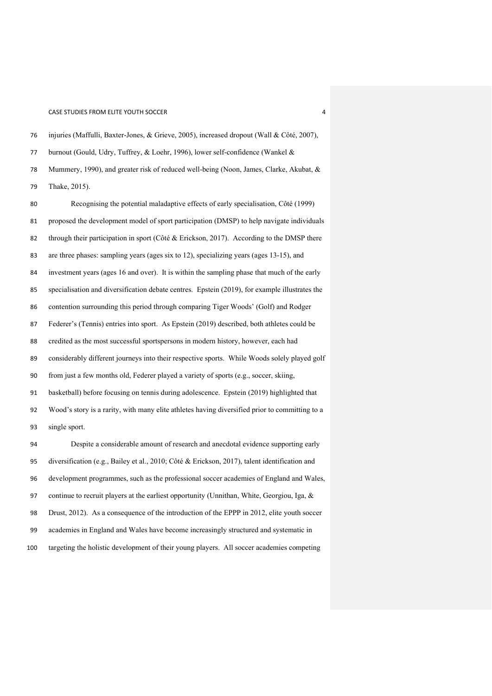burnout (Gould, Udry, Tuffrey, & Loehr, 1996), lower self-confidence (Wankel & Mummery, 1990), and greater risk of reduced well-being (Noon, James, Clarke, Akubat, & Thake, 2015). Recognising the potential maladaptive effects of early specialisation, Côté (1999) proposed the development model of sport participation (DMSP) to help navigate individuals 82 through their participation in sport (Côté & Erickson, 2017). According to the DMSP there are three phases: sampling years (ages six to 12), specializing years (ages 13-15), and investment years (ages 16 and over). It is within the sampling phase that much of the early specialisation and diversification debate centres. Epstein (2019), for example illustrates the contention surrounding this period through comparing Tiger Woods' (Golf) and Rodger Federer's (Tennis) entries into sport. As Epstein (2019) described, both athletes could be credited as the most successful sportspersons in modern history, however, each had considerably different journeys into their respective sports. While Woods solely played golf from just a few months old, Federer played a variety of sports (e.g., soccer, skiing, basketball) before focusing on tennis during adolescence. Epstein (2019) highlighted that Wood's story is a rarity, with many elite athletes having diversified prior to committing to a single sport. Despite a considerable amount of research and anecdotal evidence supporting early diversification (e.g., Bailey et al., 2010; Côté & Erickson, 2017), talent identification and development programmes, such as the professional soccer academies of England and Wales, continue to recruit players at the earliest opportunity (Unnithan, White, Georgiou, Iga, & Drust, 2012). As a consequence of the introduction of the EPPP in 2012, elite youth soccer academies in England and Wales have become increasingly structured and systematic in

injuries (Maffulli, Baxter-Jones, & Grieve, 2005), increased dropout (Wall & Côté, 2007),

targeting the holistic development of their young players. All soccer academies competing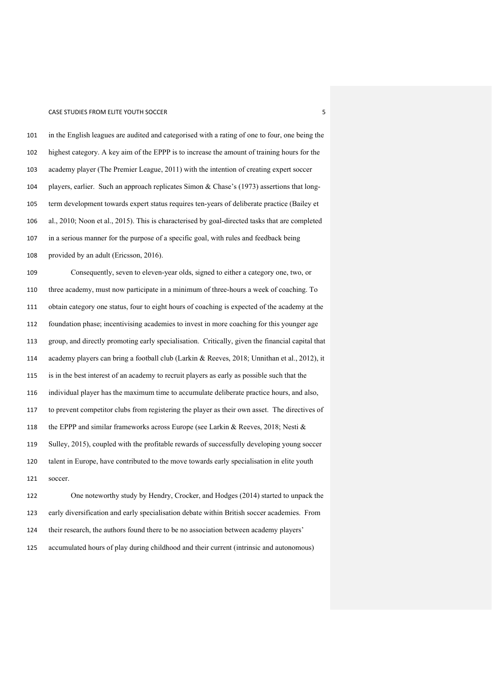in the English leagues are audited and categorised with a rating of one to four, one being the highest category. A key aim of the EPPP is to increase the amount of training hours for the academy player (The Premier League, 2011) with the intention of creating expert soccer players, earlier. Such an approach replicates Simon & Chase's (1973) assertions that long- term development towards expert status requires ten-years of deliberate practice (Bailey et al., 2010; Noon et al., 2015). This is characterised by goal-directed tasks that are completed in a serious manner for the purpose of a specific goal, with rules and feedback being provided by an adult (Ericsson, 2016).

 Consequently, seven to eleven-year olds, signed to either a category one, two, or three academy, must now participate in a minimum of three-hours a week of coaching. To obtain category one status, four to eight hours of coaching is expected of the academy at the foundation phase; incentivising academies to invest in more coaching for this younger age group, and directly promoting early specialisation. Critically, given the financial capital that academy players can bring a football club (Larkin & Reeves, 2018; Unnithan et al., 2012), it is in the best interest of an academy to recruit players as early as possible such that the individual player has the maximum time to accumulate deliberate practice hours, and also, to prevent competitor clubs from registering the player as their own asset. The directives of the EPPP and similar frameworks across Europe (see Larkin & Reeves, 2018; Nesti & Sulley, 2015), coupled with the profitable rewards of successfully developing young soccer talent in Europe, have contributed to the move towards early specialisation in elite youth soccer.

 One noteworthy study by Hendry, Crocker, and Hodges (2014) started to unpack the early diversification and early specialisation debate within British soccer academies. From their research, the authors found there to be no association between academy players' accumulated hours of play during childhood and their current (intrinsic and autonomous)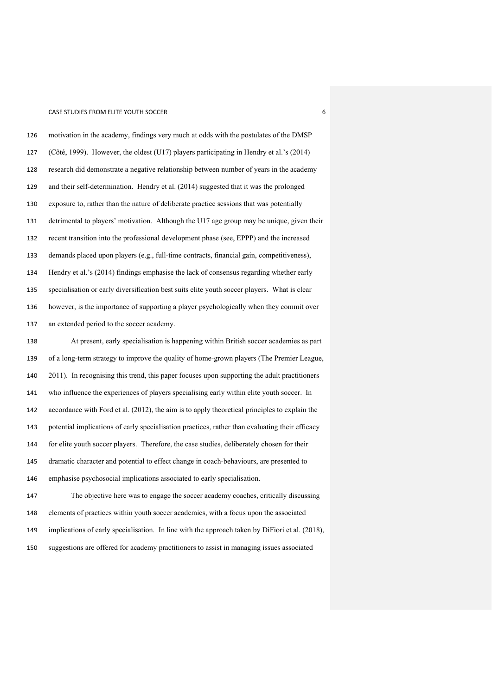motivation in the academy, findings very much at odds with the postulates of the DMSP (Côté, 1999). However, the oldest (U17) players participating in Hendry et al.'s (2014) research did demonstrate a negative relationship between number of years in the academy and their self-determination. Hendry et al. (2014) suggested that it was the prolonged exposure to, rather than the nature of deliberate practice sessions that was potentially detrimental to players' motivation. Although the U17 age group may be unique, given their recent transition into the professional development phase (see, EPPP) and the increased demands placed upon players (e.g., full-time contracts, financial gain, competitiveness), Hendry et al.'s (2014) findings emphasise the lack of consensus regarding whether early specialisation or early diversification best suits elite youth soccer players. What is clear however, is the importance of supporting a player psychologically when they commit over an extended period to the soccer academy.

 At present, early specialisation is happening within British soccer academies as part of a long-term strategy to improve the quality of home-grown players (The Premier League, 2011). In recognising this trend, this paper focuses upon supporting the adult practitioners who influence the experiences of players specialising early within elite youth soccer. In accordance with Ford et al. (2012), the aim is to apply theoretical principles to explain the potential implications of early specialisation practices, rather than evaluating their efficacy for elite youth soccer players. Therefore, the case studies, deliberately chosen for their dramatic character and potential to effect change in coach-behaviours, are presented to emphasise psychosocial implications associated to early specialisation. The objective here was to engage the soccer academy coaches, critically discussing elements of practices within youth soccer academies, with a focus upon the associated

implications of early specialisation. In line with the approach taken by DiFiori et al. (2018),

suggestions are offered for academy practitioners to assist in managing issues associated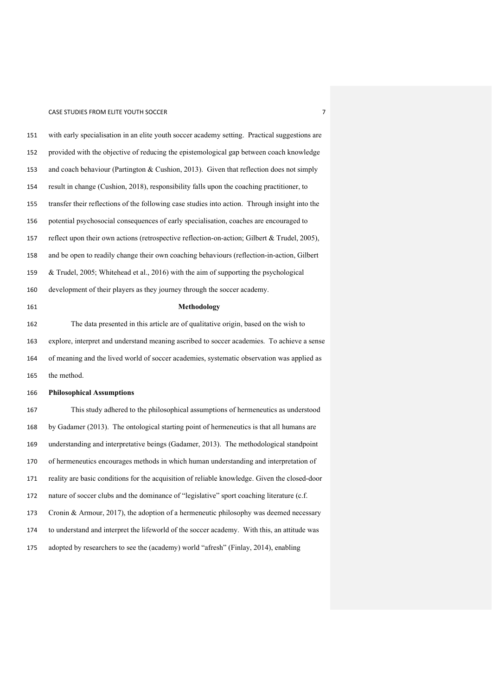# CASE STUDIES FROM ELITE YOUTH SOCCER **FROM ELITE** YOUTH SOCCER

| 151 | with early specialisation in an elite youth soccer academy setting. Practical suggestions are  |
|-----|------------------------------------------------------------------------------------------------|
| 152 | provided with the objective of reducing the epistemological gap between coach knowledge        |
| 153 | and coach behaviour (Partington & Cushion, 2013). Given that reflection does not simply        |
| 154 | result in change (Cushion, 2018), responsibility falls upon the coaching practitioner, to      |
| 155 | transfer their reflections of the following case studies into action. Through insight into the |
| 156 | potential psychosocial consequences of early specialisation, coaches are encouraged to         |
| 157 | reflect upon their own actions (retrospective reflection-on-action; Gilbert & Trudel, 2005),   |
| 158 | and be open to readily change their own coaching behaviours (reflection-in-action, Gilbert     |
| 159 | & Trudel, 2005; Whitehead et al., 2016) with the aim of supporting the psychological           |
| 160 | development of their players as they journey through the soccer academy.                       |
| 161 | Methodology                                                                                    |
| 162 | The data presented in this article are of qualitative origin, based on the wish to             |
| 163 | explore, interpret and understand meaning ascribed to soccer academies. To achieve a sense     |
| 164 | of meaning and the lived world of soccer academies, systematic observation was applied as      |
| 165 | the method.                                                                                    |
| 166 | <b>Philosophical Assumptions</b>                                                               |
| 167 | This study adhered to the philosophical assumptions of hermeneutics as understood              |
| 168 | by Gadamer (2013). The ontological starting point of hermeneutics is that all humans are       |
| 169 | understanding and interpretative beings (Gadamer, 2013). The methodological standpoint         |
| 170 | of hermeneutics encourages methods in which human understanding and interpretation of          |
| 171 | reality are basic conditions for the acquisition of reliable knowledge. Given the closed-door  |
| 172 | nature of soccer clubs and the dominance of "legislative" sport coaching literature (c.f.      |
| 173 | Cronin & Armour, 2017), the adoption of a hermeneutic philosophy was deemed necessary          |
| 174 | to understand and interpret the lifeworld of the soccer academy. With this, an attitude was    |
| 175 | adopted by researchers to see the (academy) world "afresh" (Finlay, 2014), enabling            |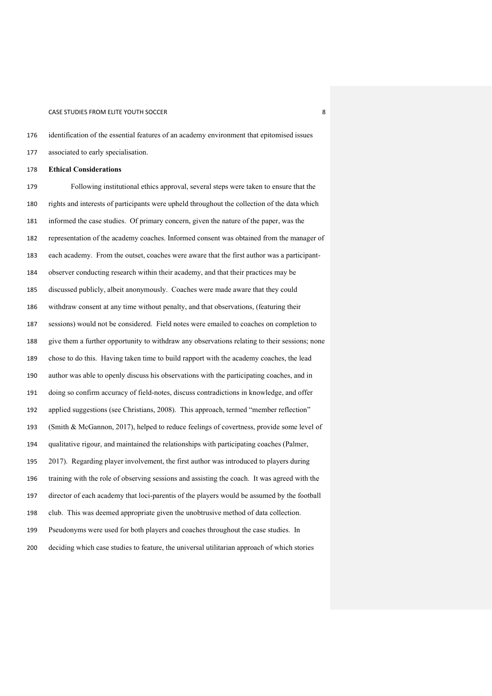identification of the essential features of an academy environment that epitomised issues

associated to early specialisation.

**Ethical Considerations**

 Following institutional ethics approval, several steps were taken to ensure that the rights and interests of participants were upheld throughout the collection of the data which informed the case studies. Of primary concern, given the nature of the paper, was the representation of the academy coaches. Informed consent was obtained from the manager of each academy. From the outset, coaches were aware that the first author was a participant- observer conducting research within their academy, and that their practices may be discussed publicly, albeit anonymously. Coaches were made aware that they could withdraw consent at any time without penalty, and that observations, (featuring their sessions) would not be considered. Field notes were emailed to coaches on completion to give them a further opportunity to withdraw any observations relating to their sessions; none chose to do this. Having taken time to build rapport with the academy coaches, the lead author was able to openly discuss his observations with the participating coaches, and in doing so confirm accuracy of field-notes, discuss contradictions in knowledge, and offer applied suggestions (see Christians, 2008). This approach, termed "member reflection" (Smith & McGannon, 2017), helped to reduce feelings of covertness, provide some level of qualitative rigour, and maintained the relationships with participating coaches (Palmer, 2017). Regarding player involvement, the first author was introduced to players during training with the role of observing sessions and assisting the coach. It was agreed with the director of each academy that loci-parentis of the players would be assumed by the football club. This was deemed appropriate given the unobtrusive method of data collection. Pseudonyms were used for both players and coaches throughout the case studies. In deciding which case studies to feature, the universal utilitarian approach of which stories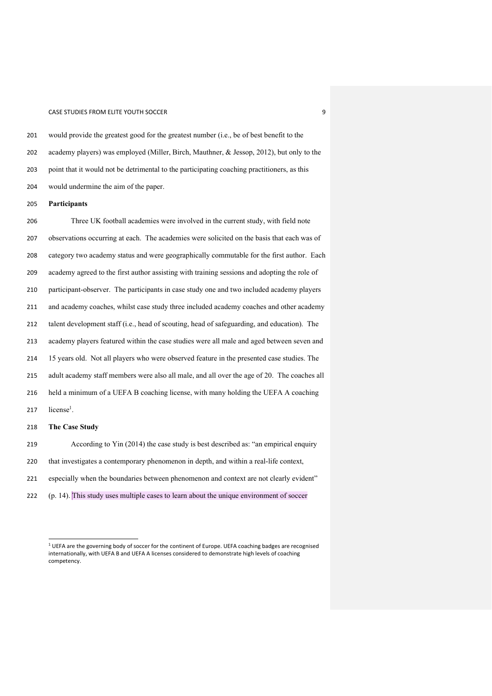would provide the greatest good for the greatest number (i.e., be of best benefit to the academy players) was employed (Miller, Birch, Mauthner, & Jessop, 2012), but only to the point that it would not be detrimental to the participating coaching practitioners, as this would undermine the aim of the paper.

**Participants**

 Three UK football academies were involved in the current study, with field note observations occurring at each. The academies were solicited on the basis that each was of category two academy status and were geographically commutable for the first author. Each academy agreed to the first author assisting with training sessions and adopting the role of participant-observer. The participants in case study one and two included academy players and academy coaches, whilst case study three included academy coaches and other academy talent development staff (i.e., head of scouting, head of safeguarding, and education). The academy players featured within the case studies were all male and aged between seven and 15 years old. Not all players who were observed feature in the presented case studies. The adult academy staff members were also all male, and all over the age of 20. The coaches all held a minimum of a UEFA B coaching license, with many holding the UEFA A coaching 217 license<sup>1</sup>. **The Case Study** According to Yin (2014) the case study is best described as: "an empirical enquiry that investigates a contemporary phenomenon in depth, and within a real-life context,

especially when the boundaries between phenomenon and context are not clearly evident"

(p. 14). This study uses multiple cases to learn about the unique environment of soccer

 UEFA are the governing body of soccer for the continent of Europe. UEFA coaching badges are recognised internationally, with UEFA B and UEFA A licenses considered to demonstrate high levels of coaching competency.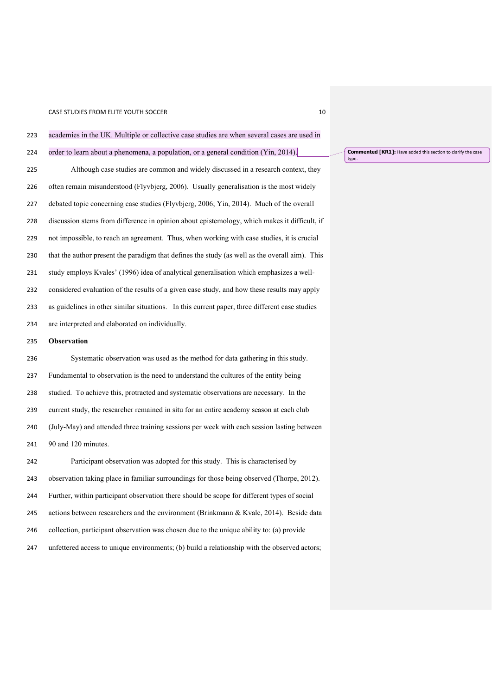| 223 | academies in the UK. Multiple or collective case studies are when several cases are used in    |
|-----|------------------------------------------------------------------------------------------------|
| 224 | order to learn about a phenomena, a population, or a general condition (Yin, 2014).            |
| 225 | Although case studies are common and widely discussed in a research context, they              |
| 226 | often remain misunderstood (Flyvbjerg, 2006). Usually generalisation is the most widely        |
| 227 | debated topic concerning case studies (Flyvbjerg, 2006; Yin, 2014). Much of the overall        |
| 228 | discussion stems from difference in opinion about epistemology, which makes it difficult, if   |
| 229 | not impossible, to reach an agreement. Thus, when working with case studies, it is crucial     |
| 230 | that the author present the paradigm that defines the study (as well as the overall aim). This |
| 231 | study employs Kvales' (1996) idea of analytical generalisation which emphasizes a well-        |
| 232 | considered evaluation of the results of a given case study, and how these results may apply    |
| 233 | as guidelines in other similar situations. In this current paper, three different case studies |
| 234 | are interpreted and elaborated on individually.                                                |
| 235 | Observation                                                                                    |
| 236 | Systematic observation was used as the method for data gathering in this study.                |
| 237 | Fundamental to observation is the need to understand the cultures of the entity being          |
| 238 | studied. To achieve this, protracted and systematic observations are necessary. In the         |
| 239 | current study, the researcher remained in situ for an entire academy season at each club       |
| 240 | (July-May) and attended three training sessions per week with each session lasting between     |
| 241 | 90 and 120 minutes.                                                                            |
| 242 | Doutinizant also agreeting was adopted for this study. This is also protonized by              |

 Participant observation was adopted for this study. This is characterised by observation taking place in familiar surroundings for those being observed (Thorpe, 2012). Further, within participant observation there should be scope for different types of social actions between researchers and the environment (Brinkmann & Kvale, 2014). Beside data collection, participant observation was chosen due to the unique ability to: (a) provide 247 unfettered access to unique environments; (b) build a relationship with the observed actors;

**Commented [KR1]:** Have added this section to clarify the case type.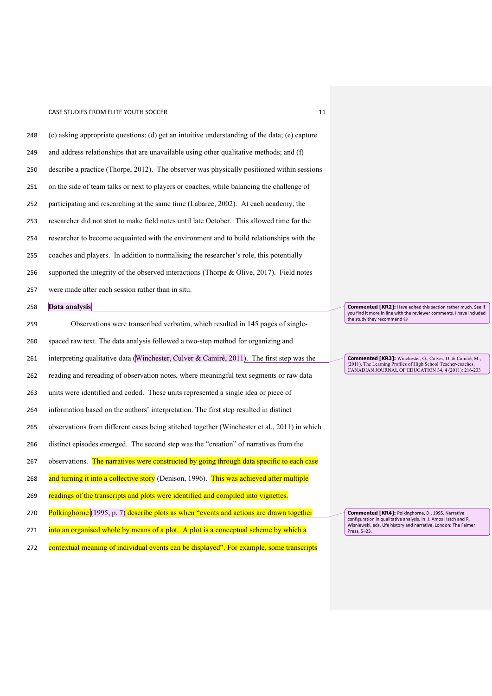| 248 | (c) asking appropriate questions; (d) get an intuitive understanding of the data; (e) capture |  |
|-----|-----------------------------------------------------------------------------------------------|--|
| 249 | and address relationships that are unavailable using other qualitative methods; and (f)       |  |
| 250 | describe a practice (Thorpe, 2012). The observer was physically positioned within sessions    |  |
| 251 | on the side of team talks or next to players or coaches, while balancing the challenge of     |  |
| 252 | participating and researching at the same time (Labaree, 2002). At each academy, the          |  |
| 253 | researcher did not start to make field notes until late October. This allowed time for the    |  |
| 254 | researcher to become acquainted with the environment and to build relationships with the      |  |
| 255 | coaches and players. In addition to normalising the researcher's role, this potentially       |  |
| 256 | supported the integrity of the observed interactions (Thorpe & Olive, 2017). Field notes      |  |
| 257 | were made after each session rather than in situ.                                             |  |
| 258 | Data analysis                                                                                 |  |
| 259 | Observations were transcribed verbatim, which resulted in 145 pages of single-                |  |
| 260 | spaced raw text. The data analysis followed a two-step method for organizing and              |  |
| 261 | interpreting qualitative data (Winchester, Culver & Camiré, 2011). The first step was the     |  |
| 262 | reading and rereading of observation notes, where meaningful text segments or raw data        |  |
| 263 | units were identified and coded. These units represented a single idea or piece of            |  |
| 264 | information based on the authors' interpretation. The first step resulted in distinct         |  |
| 265 | observations from different cases being stitched together (Winchester et al., 2011) in which  |  |
| 266 | distinct episodes emerged. The second step was the "creation" of narratives from the          |  |
| 267 | observations. The narratives were constructed by going through data specific to each case     |  |
| 268 | and turning it into a collective story (Denison, 1996). This was achieved after multiple      |  |
| 269 | readings of the transcripts and plots were identified and compiled into vignettes.            |  |
| 270 | Polkinghorne (1995, p. 7) describe plots as when "events and actions are drawn together       |  |
| 271 | into an organised whole by means of a plot. A plot is a conceptual scheme by which a          |  |

272 contextual meaning of individual events can be displayed". For example, some transcripts

Commented [KR2]: Have edited this section rather much. See if you find it more in line with the reviewer comments. I have included the study they recommend ©

**Commented [KR3]:** Winchester, G., Culver, D. & Camiré, M., (2011). The Learning Profiles of High School Teacher-coaches. CANADIAN JOURNAL OF EDUCATION 34, 4 (2011): 216-233

**Commented [KR4]:** Polkinghorne, D., 1995. Narrative configuration in qualitative analysis. In: J. Amos Hatch and R. Wisniewski, eds. Life history and narrative, London: The Falmer Press, 5–23.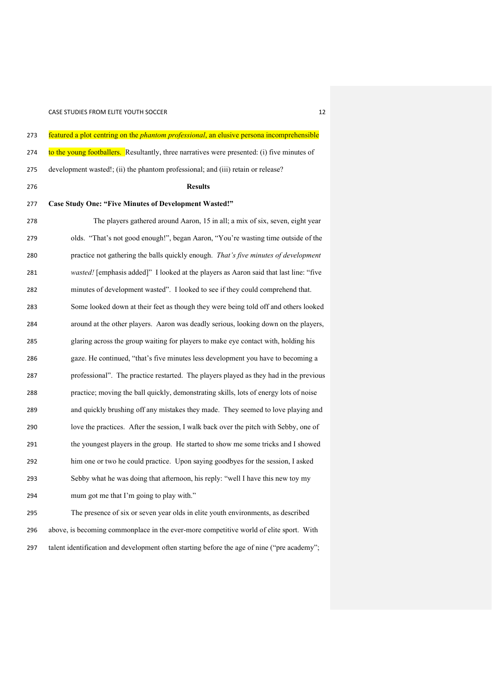| 273 | featured a plot centring on the <i>phantom professional</i> , an elusive persona incomprehensible |
|-----|---------------------------------------------------------------------------------------------------|
| 274 | to the young footballers. Resultantly, three narratives were presented: (i) five minutes of       |
| 275 | development wasted!; (ii) the phantom professional; and (iii) retain or release?                  |
| 276 | <b>Results</b>                                                                                    |
| 277 | <b>Case Study One: "Five Minutes of Development Wasted!"</b>                                      |
| 278 | The players gathered around Aaron, 15 in all; a mix of six, seven, eight year                     |
| 279 | olds. "That's not good enough!", began Aaron, "You're wasting time outside of the                 |
| 280 | practice not gathering the balls quickly enough. That's five minutes of development               |
| 281 | wasted! [emphasis added]" I looked at the players as Aaron said that last line: "five             |
| 282 | minutes of development wasted". I looked to see if they could comprehend that.                    |
| 283 | Some looked down at their feet as though they were being told off and others looked               |
| 284 | around at the other players. Aaron was deadly serious, looking down on the players,               |
| 285 | glaring across the group waiting for players to make eye contact with, holding his                |
| 286 | gaze. He continued, "that's five minutes less development you have to becoming a                  |
| 287 | professional". The practice restarted. The players played as they had in the previous             |
| 288 | practice; moving the ball quickly, demonstrating skills, lots of energy lots of noise             |
| 289 | and quickly brushing off any mistakes they made. They seemed to love playing and                  |
| 290 | love the practices. After the session, I walk back over the pitch with Sebby, one of              |
| 291 | the youngest players in the group. He started to show me some tricks and I showed                 |
| 292 | him one or two he could practice. Upon saying goodbyes for the session, I asked                   |
| 293 | Sebby what he was doing that afternoon, his reply: "well I have this new toy my                   |
| 294 | mum got me that I'm going to play with."                                                          |
| 295 | The presence of six or seven year olds in elite youth environments, as described                  |
| 296 | above, is becoming commonplace in the ever-more competitive world of elite sport. With            |
| 297 | talent identification and development often starting before the age of nine ("pre academy";       |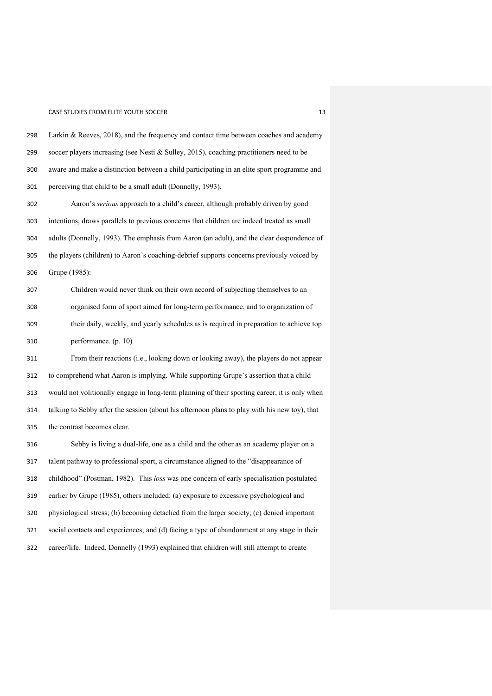#### CASE STUDIES FROM ELITE YOUTH SOCCER 13 AND 13 AND 13

 soccer players increasing (see Nesti & Sulley, 2015), coaching practitioners need to be aware and make a distinction between a child participating in an elite sport programme and perceiving that child to be a small adult (Donnelly, 1993). Aaron's *serious* approach to a child's career, although probably driven by good intentions, draws parallels to previous concerns that children are indeed treated as small adults (Donnelly, 1993). The emphasis from Aaron (an adult), and the clear despondence of the players (children) to Aaron's coaching-debrief supports concerns previously voiced by Grupe (1985): Children would never think on their own accord of subjecting themselves to an organised form of sport aimed for long-term performance, and to organization of their daily, weekly, and yearly schedules as is required in preparation to achieve top performance. (p. 10) From their reactions (i.e., looking down or looking away), the players do not appear to comprehend what Aaron is implying. While supporting Grupe's assertion that a child would not volitionally engage in long-term planning of their sporting career, it is only when talking to Sebby after the session (about his afternoon plans to play with his new toy), that the contrast becomes clear. Sebby is living a dual-life, one as a child and the other as an academy player on a talent pathway to professional sport, a circumstance aligned to the "disappearance of childhood" (Postman, 1982). This *loss* was one concern of early specialisation postulated earlier by Grupe (1985), others included: (a) exposure to excessive psychological and physiological stress; (b) becoming detached from the larger society; (c) denied important social contacts and experiences; and (d) facing a type of abandonment at any stage in their career/life. Indeed, Donnelly (1993) explained that children will still attempt to create

Larkin & Reeves, 2018), and the frequency and contact time between coaches and academy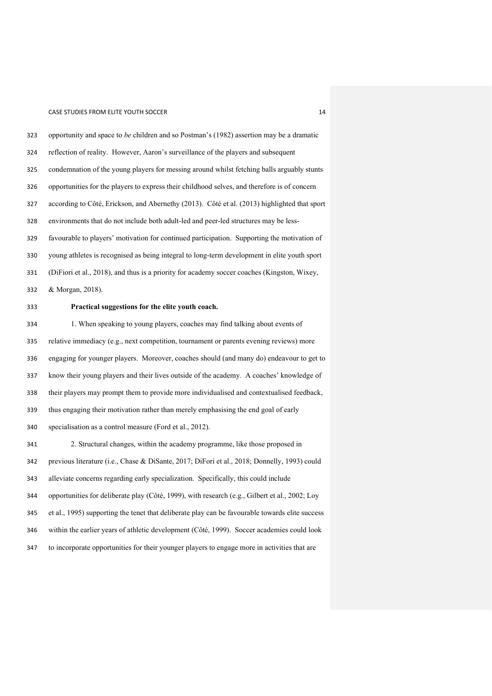opportunity and space to *be* children and so Postman's (1982) assertion may be a dramatic reflection of reality. However, Aaron's surveillance of the players and subsequent condemnation of the young players for messing around whilst fetching balls arguably stunts opportunities for the players to express their childhood selves, and therefore is of concern according to Côté, Erickson, and Abernethy (2013). Côté et al. (2013) highlighted that sport environments that do not include both adult-led and peer-led structures may be less- favourable to players' motivation for continued participation. Supporting the motivation of young athletes is recognised as being integral to long-term development in elite youth sport (DiFiori et al., 2018), and thus is a priority for academy soccer coaches (Kingston, Wixey, & Morgan, 2018). **Practical suggestions for the elite youth coach.**  1. When speaking to young players, coaches may find talking about events of relative immediacy (e.g., next competition, tournament or parents evening reviews) more engaging for younger players. Moreover, coaches should (and many do) endeavour to get to know their young players and their lives outside of the academy. A coaches' knowledge of their players may prompt them to provide more individualised and contextualised feedback, thus engaging their motivation rather than merely emphasising the end goal of early specialisation as a control measure (Ford et al., 2012). 2. Structural changes, within the academy programme, like those proposed in previous literature (i.e., Chase & DiSante, 2017; DiFori et al., 2018; Donnelly, 1993) could alleviate concerns regarding early specialization. Specifically, this could include opportunities for deliberate play (Côté, 1999), with research (e.g., Gilbert et al., 2002; Loy et al., 1995) supporting the tenet that deliberate play can be favourable towards elite success within the earlier years of athletic development (Côté, 1999). Soccer academies could look to incorporate opportunities for their younger players to engage more in activities that are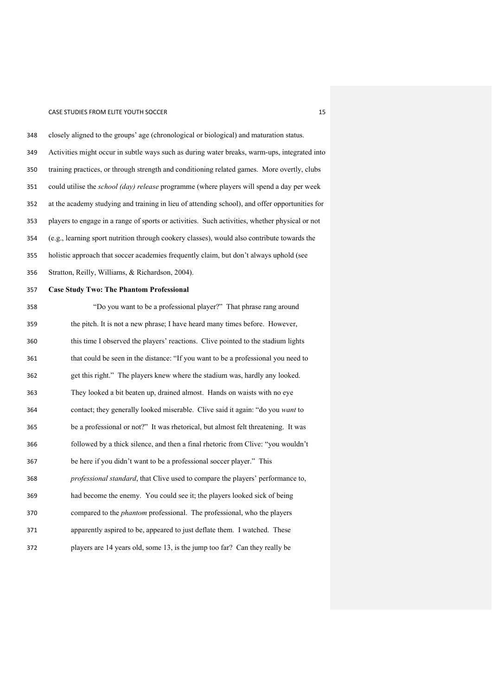closely aligned to the groups' age (chronological or biological) and maturation status. Activities might occur in subtle ways such as during water breaks, warm-ups, integrated into training practices, or through strength and conditioning related games. More overtly, clubs could utilise the *school (day) release* programme (where players will spend a day per week at the academy studying and training in lieu of attending school), and offer opportunities for players to engage in a range of sports or activities. Such activities, whether physical or not (e.g., learning sport nutrition through cookery classes), would also contribute towards the holistic approach that soccer academies frequently claim, but don't always uphold (see Stratton, Reilly, Williams, & Richardson, 2004). **Case Study Two: The Phantom Professional**

| 358 | "Do you want to be a professional player?" That phrase rang around                     |
|-----|----------------------------------------------------------------------------------------|
| 359 | the pitch. It is not a new phrase; I have heard many times before. However,            |
| 360 | this time I observed the players' reactions. Clive pointed to the stadium lights       |
| 361 | that could be seen in the distance: "If you want to be a professional you need to      |
| 362 | get this right." The players knew where the stadium was, hardly any looked.            |
| 363 | They looked a bit beaten up, drained almost. Hands on waists with no eye               |
| 364 | contact; they generally looked miserable. Clive said it again: "do you want to         |
| 365 | be a professional or not?" It was rhetorical, but almost felt threatening. It was      |
| 366 | followed by a thick silence, and then a final rhetoric from Clive: "you wouldn't       |
| 367 | be here if you didn't want to be a professional soccer player." This                   |
| 368 | <i>professional standard</i> , that Clive used to compare the players' performance to, |
| 369 | had become the enemy. You could see it; the players looked sick of being               |
| 370 | compared to the <i>phantom</i> professional. The professional, who the players         |
| 371 | apparently aspired to be, appeared to just deflate them. I watched. These              |
| 372 | players are 14 years old, some 13, is the jump too far? Can they really be             |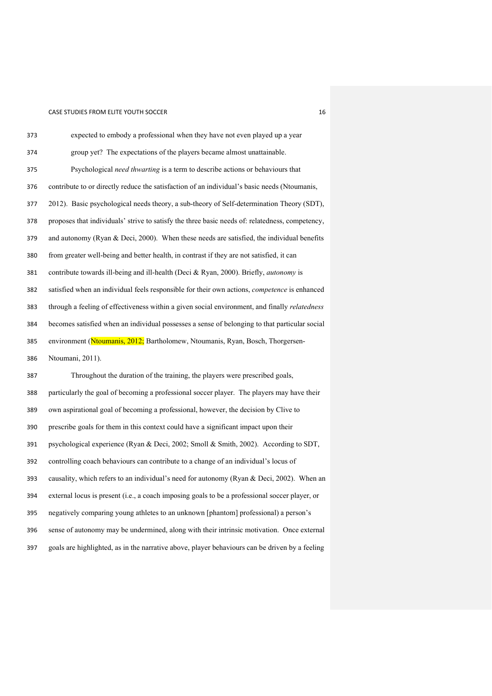| 373 | expected to embody a professional when they have not even played up a year                      |
|-----|-------------------------------------------------------------------------------------------------|
| 374 | group yet? The expectations of the players became almost unattainable.                          |
| 375 | Psychological need thwarting is a term to describe actions or behaviours that                   |
| 376 | contribute to or directly reduce the satisfaction of an individual's basic needs (Ntoumanis,    |
| 377 | 2012). Basic psychological needs theory, a sub-theory of Self-determination Theory (SDT),       |
| 378 | proposes that individuals' strive to satisfy the three basic needs of: relatedness, competency, |
| 379 | and autonomy (Ryan & Deci, 2000). When these needs are satisfied, the individual benefits       |
| 380 | from greater well-being and better health, in contrast if they are not satisfied, it can        |
| 381 | contribute towards ill-being and ill-health (Deci & Ryan, 2000). Briefly, autonomy is           |
| 382 | satisfied when an individual feels responsible for their own actions, competence is enhanced    |
| 383 | through a feeling of effectiveness within a given social environment, and finally relatedness   |
| 384 | becomes satisfied when an individual possesses a sense of belonging to that particular social   |
| 385 | environment (Ntoumanis, 2012; Bartholomew, Ntoumanis, Ryan, Bosch, Thorgersen-                  |
| 386 | Ntoumani, 2011).                                                                                |
| 387 | Throughout the duration of the training, the players were prescribed goals,                     |
| 388 | particularly the goal of becoming a professional soccer player. The players may have their      |
| 389 | own aspirational goal of becoming a professional, however, the decision by Clive to             |
| 390 | prescribe goals for them in this context could have a significant impact upon their             |
| 391 | psychological experience (Ryan & Deci, 2002; Smoll & Smith, 2002). According to SDT,            |
| 392 | controlling coach behaviours can contribute to a change of an individual's locus of             |
| 393 | causality, which refers to an individual's need for autonomy (Ryan & Deci, 2002). When an       |
| 394 | external locus is present (i.e., a coach imposing goals to be a professional soccer player, or  |
| 395 | negatively comparing young athletes to an unknown [phantom] professional) a person's            |
| 396 | sense of autonomy may be undermined, along with their intrinsic motivation. Once external       |
| 397 | goals are highlighted, as in the narrative above, player behaviours can be driven by a feeling  |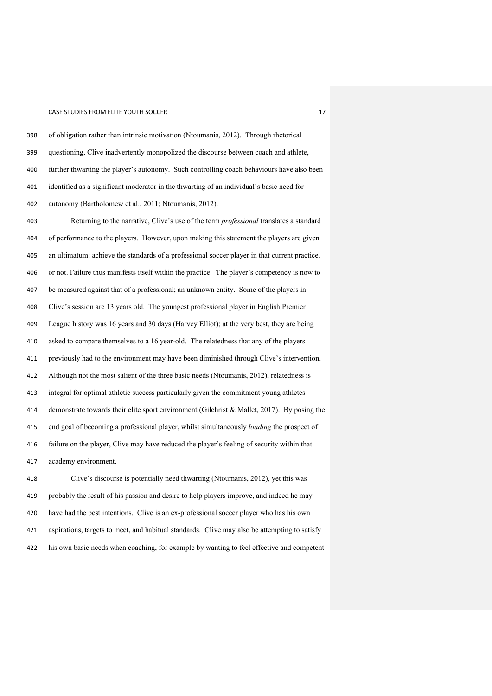of obligation rather than intrinsic motivation (Ntoumanis, 2012). Through rhetorical questioning, Clive inadvertently monopolized the discourse between coach and athlete, further thwarting the player's autonomy. Such controlling coach behaviours have also been identified as a significant moderator in the thwarting of an individual's basic need for autonomy (Bartholomew et al., 2011; Ntoumanis, 2012). Returning to the narrative, Clive's use of the term *professional* translates a standard of performance to the players. However, upon making this statement the players are given an ultimatum: achieve the standards of a professional soccer player in that current practice, or not. Failure thus manifests itself within the practice. The player's competency is now to be measured against that of a professional; an unknown entity. Some of the players in Clive's session are 13 years old. The youngest professional player in English Premier League history was 16 years and 30 days (Harvey Elliot); at the very best, they are being asked to compare themselves to a 16 year-old. The relatedness that any of the players previously had to the environment may have been diminished through Clive's intervention. Although not the most salient of the three basic needs (Ntoumanis, 2012), relatedness is integral for optimal athletic success particularly given the commitment young athletes demonstrate towards their elite sport environment (Gilchrist & Mallet, 2017). By posing the end goal of becoming a professional player, whilst simultaneously *loading* the prospect of failure on the player, Clive may have reduced the player's feeling of security within that academy environment. Clive's discourse is potentially need thwarting (Ntoumanis, 2012), yet this was probably the result of his passion and desire to help players improve, and indeed he may

 have had the best intentions. Clive is an ex-professional soccer player who has his own aspirations, targets to meet, and habitual standards. Clive may also be attempting to satisfy his own basic needs when coaching, for example by wanting to feel effective and competent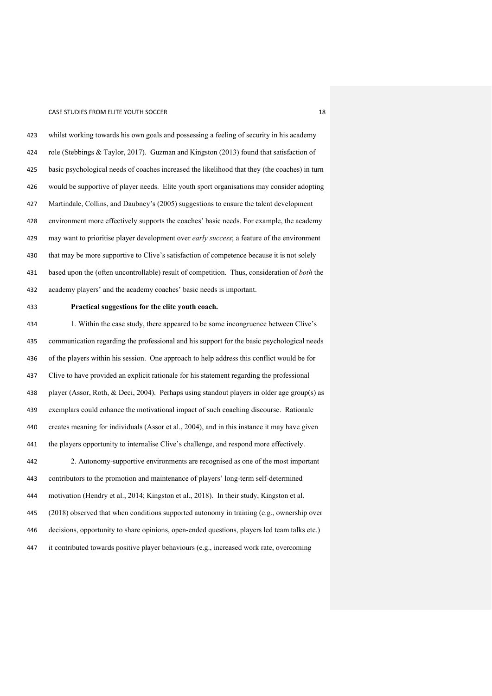### CASE STUDIES FROM ELITE YOUTH SOCCER 18 AND 18 AND 18

 whilst working towards his own goals and possessing a feeling of security in his academy role (Stebbings & Taylor, 2017). Guzman and Kingston (2013) found that satisfaction of basic psychological needs of coaches increased the likelihood that they (the coaches) in turn would be supportive of player needs. Elite youth sport organisations may consider adopting Martindale, Collins, and Daubney's (2005) suggestions to ensure the talent development environment more effectively supports the coaches' basic needs. For example, the academy may want to prioritise player development over *early success*; a feature of the environment that may be more supportive to Clive's satisfaction of competence because it is not solely based upon the (often uncontrollable) result of competition. Thus, consideration of *both* the academy players' and the academy coaches' basic needs is important.

### **Practical suggestions for the elite youth coach.**

 1. Within the case study, there appeared to be some incongruence between Clive's communication regarding the professional and his support for the basic psychological needs of the players within his session. One approach to help address this conflict would be for Clive to have provided an explicit rationale for his statement regarding the professional player (Assor, Roth, & Deci, 2004). Perhaps using standout players in older age group(s) as exemplars could enhance the motivational impact of such coaching discourse. Rationale creates meaning for individuals (Assor et al., 2004), and in this instance it may have given the players opportunity to internalise Clive's challenge, and respond more effectively. 2. Autonomy-supportive environments are recognised as one of the most important contributors to the promotion and maintenance of players' long-term self-determined motivation (Hendry et al., 2014; Kingston et al., 2018). In their study, Kingston et al. (2018) observed that when conditions supported autonomy in training (e.g., ownership over decisions, opportunity to share opinions, open-ended questions, players led team talks etc.)

it contributed towards positive player behaviours (e.g., increased work rate, overcoming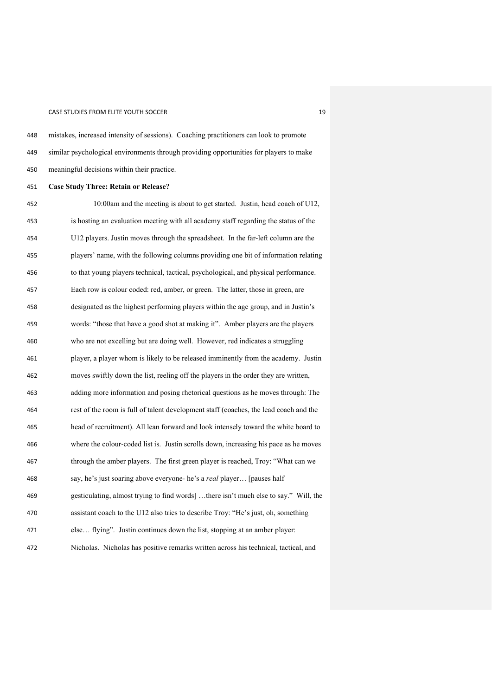#### CASE STUDIES FROM ELITE YOUTH SOCCER 1992 1993 1994

 similar psychological environments through providing opportunities for players to make meaningful decisions within their practice. **Case Study Three: Retain or Release?** 10:00am and the meeting is about to get started. Justin, head coach of U12, is hosting an evaluation meeting with all academy staff regarding the status of the U12 players. Justin moves through the spreadsheet. In the far-left column are the players' name, with the following columns providing one bit of information relating to that young players technical, tactical, psychological, and physical performance. Each row is colour coded: red, amber, or green. The latter, those in green, are designated as the highest performing players within the age group, and in Justin's words: "those that have a good shot at making it". Amber players are the players who are not excelling but are doing well. However, red indicates a struggling player, a player whom is likely to be released imminently from the academy. Justin moves swiftly down the list, reeling off the players in the order they are written, adding more information and posing rhetorical questions as he moves through: The rest of the room is full of talent development staff (coaches, the lead coach and the head of recruitment). All lean forward and look intensely toward the white board to where the colour-coded list is. Justin scrolls down, increasing his pace as he moves through the amber players. The first green player is reached, Troy: "What can we say, he's just soaring above everyone- he's a *real* player… [pauses half gesticulating, almost trying to find words] …there isn't much else to say." Will, the assistant coach to the U12 also tries to describe Troy: "He's just, oh, something else… flying". Justin continues down the list, stopping at an amber player: Nicholas. Nicholas has positive remarks written across his technical, tactical, and

mistakes, increased intensity of sessions). Coaching practitioners can look to promote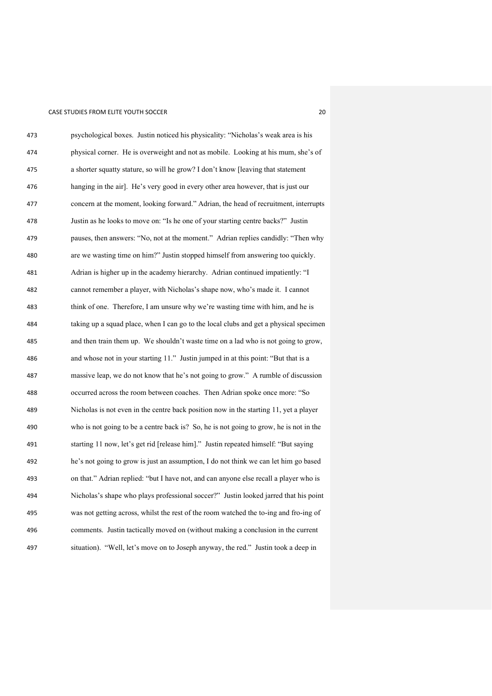| 473 | psychological boxes. Justin noticed his physicality: "Nicholas's weak area is his      |
|-----|----------------------------------------------------------------------------------------|
| 474 | physical corner. He is overweight and not as mobile. Looking at his mum, she's of      |
| 475 | a shorter squatty stature, so will he grow? I don't know [leaving that statement       |
| 476 | hanging in the air]. He's very good in every other area however, that is just our      |
| 477 | concern at the moment, looking forward." Adrian, the head of recruitment, interrupts   |
| 478 | Justin as he looks to move on: "Is he one of your starting centre backs?" Justin       |
| 479 | pauses, then answers: "No, not at the moment." Adrian replies candidly: "Then why      |
| 480 | are we wasting time on him?" Justin stopped himself from answering too quickly.        |
| 481 | Adrian is higher up in the academy hierarchy. Adrian continued impatiently: "I         |
| 482 | cannot remember a player, with Nicholas's shape now, who's made it. I cannot           |
| 483 | think of one. Therefore, I am unsure why we're wasting time with him, and he is        |
| 484 | taking up a squad place, when I can go to the local clubs and get a physical specimen  |
| 485 | and then train them up. We shouldn't waste time on a lad who is not going to grow,     |
| 486 | and whose not in your starting 11." Justin jumped in at this point: "But that is a     |
| 487 | massive leap, we do not know that he's not going to grow." A rumble of discussion      |
| 488 | occurred across the room between coaches. Then Adrian spoke once more: "So             |
| 489 | Nicholas is not even in the centre back position now in the starting 11, yet a player  |
| 490 | who is not going to be a centre back is? So, he is not going to grow, he is not in the |
| 491 | starting 11 now, let's get rid [release him]." Justin repeated himself: "But saying    |
| 492 | he's not going to grow is just an assumption, I do not think we can let him go based   |
| 493 | on that." Adrian replied: "but I have not, and can anyone else recall a player who is  |
| 494 | Nicholas's shape who plays professional soccer?" Justin looked jarred that his point   |
| 495 | was not getting across, whilst the rest of the room watched the to-ing and fro-ing of  |
| 496 | comments. Justin tactically moved on (without making a conclusion in the current       |
| 497 | situation). "Well, let's move on to Joseph anyway, the red." Justin took a deep in     |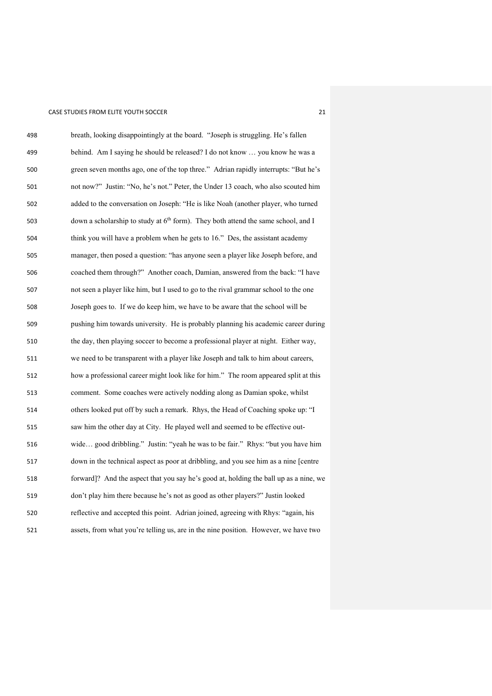| 498 | breath, looking disappointingly at the board. "Joseph is struggling. He's fallen              |
|-----|-----------------------------------------------------------------------------------------------|
| 499 | behind. Am I saying he should be released? I do not know  you know he was a                   |
| 500 | green seven months ago, one of the top three." Adrian rapidly interrupts: "But he's           |
| 501 | not now?" Justin: "No, he's not." Peter, the Under 13 coach, who also scouted him             |
| 502 | added to the conversation on Joseph: "He is like Noah (another player, who turned             |
| 503 | down a scholarship to study at 6 <sup>th</sup> form). They both attend the same school, and I |
| 504 | think you will have a problem when he gets to 16." Des, the assistant academy                 |
| 505 | manager, then posed a question: "has anyone seen a player like Joseph before, and             |
| 506 | coached them through?" Another coach, Damian, answered from the back: "I have                 |
| 507 | not seen a player like him, but I used to go to the rival grammar school to the one           |
| 508 | Joseph goes to. If we do keep him, we have to be aware that the school will be                |
| 509 | pushing him towards university. He is probably planning his academic career during            |
| 510 | the day, then playing soccer to become a professional player at night. Either way,            |
| 511 | we need to be transparent with a player like Joseph and talk to him about careers,            |
| 512 | how a professional career might look like for him." The room appeared split at this           |
| 513 | comment. Some coaches were actively nodding along as Damian spoke, whilst                     |
| 514 | others looked put off by such a remark. Rhys, the Head of Coaching spoke up: "I               |
| 515 | saw him the other day at City. He played well and seemed to be effective out-                 |
| 516 | wide good dribbling." Justin: "yeah he was to be fair." Rhys: "but you have him               |
| 517 | down in the technical aspect as poor at dribbling, and you see him as a nine [centre          |
| 518 | forward]? And the aspect that you say he's good at, holding the ball up as a nine, we         |
| 519 | don't play him there because he's not as good as other players?" Justin looked                |
| 520 | reflective and accepted this point. Adrian joined, agreeing with Rhys: "again, his            |
| 521 | assets, from what you're telling us, are in the nine position. However, we have two           |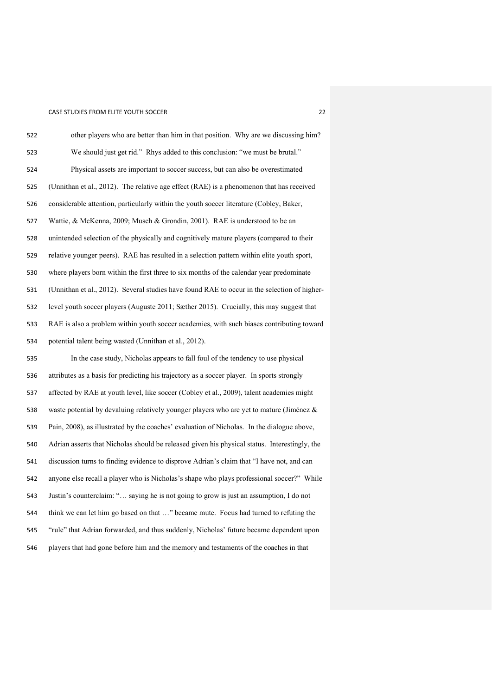| 522 | other players who are better than him in that position. Why are we discussing him?            |
|-----|-----------------------------------------------------------------------------------------------|
| 523 | We should just get rid." Rhys added to this conclusion: "we must be brutal."                  |
| 524 | Physical assets are important to soccer success, but can also be overestimated                |
| 525 | (Unnithan et al., 2012). The relative age effect (RAE) is a phenomenon that has received      |
| 526 | considerable attention, particularly within the youth soccer literature (Cobley, Baker,       |
| 527 | Wattie, & McKenna, 2009; Musch & Grondin, 2001). RAE is understood to be an                   |
| 528 | unintended selection of the physically and cognitively mature players (compared to their      |
| 529 | relative younger peers). RAE has resulted in a selection pattern within elite youth sport,    |
| 530 | where players born within the first three to six months of the calendar year predominate      |
| 531 | (Unnithan et al., 2012). Several studies have found RAE to occur in the selection of higher-  |
| 532 | level youth soccer players (Auguste 2011; Sæther 2015). Crucially, this may suggest that      |
| 533 | RAE is also a problem within youth soccer academies, with such biases contributing toward     |
| 534 | potential talent being wasted (Unnithan et al., 2012).                                        |
| 535 | In the case study, Nicholas appears to fall foul of the tendency to use physical              |
| 536 | attributes as a basis for predicting his trajectory as a soccer player. In sports strongly    |
| 537 | affected by RAE at youth level, like soccer (Cobley et al., 2009), talent academies might     |
| 538 | waste potential by devaluing relatively younger players who are yet to mature (Jiménez &      |
| 539 | Pain, 2008), as illustrated by the coaches' evaluation of Nicholas. In the dialogue above,    |
| 540 | Adrian asserts that Nicholas should be released given his physical status. Interestingly, the |
| 541 | discussion turns to finding evidence to disprove Adrian's claim that "I have not, and can     |
| 542 | anyone else recall a player who is Nicholas's shape who plays professional soccer?" While     |
| 543 | Justin's counterclaim: " saying he is not going to grow is just an assumption, I do not       |
| 544 | think we can let him go based on that " became mute. Focus had turned to refuting the         |
| 545 | "rule" that Adrian forwarded, and thus suddenly, Nicholas' future became dependent upon       |
| 546 | players that had gone before him and the memory and testaments of the coaches in that         |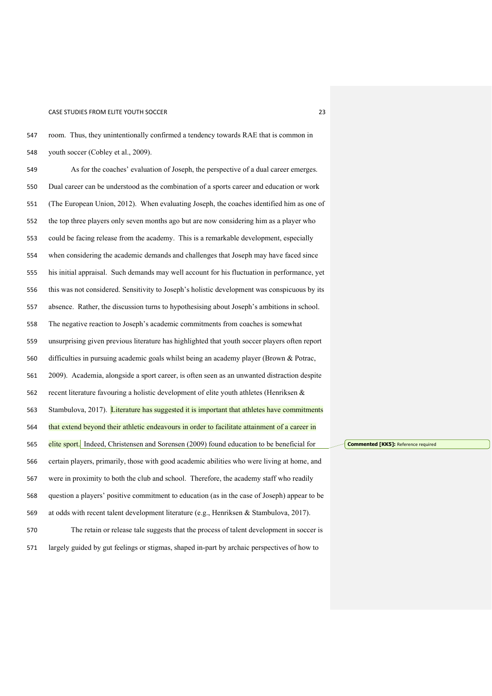| 548 | youth soccer (Cobley et al., 2009).                                                           |
|-----|-----------------------------------------------------------------------------------------------|
| 549 | As for the coaches' evaluation of Joseph, the perspective of a dual career emerges.           |
| 550 | Dual career can be understood as the combination of a sports career and education or work     |
| 551 | (The European Union, 2012). When evaluating Joseph, the coaches identified him as one of      |
| 552 | the top three players only seven months ago but are now considering him as a player who       |
| 553 | could be facing release from the academy. This is a remarkable development, especially        |
| 554 | when considering the academic demands and challenges that Joseph may have faced since         |
| 555 | his initial appraisal. Such demands may well account for his fluctuation in performance, yet  |
| 556 | this was not considered. Sensitivity to Joseph's holistic development was conspicuous by its  |
| 557 | absence. Rather, the discussion turns to hypothesising about Joseph's ambitions in school.    |
| 558 | The negative reaction to Joseph's academic commitments from coaches is somewhat               |
| 559 | unsurprising given previous literature has highlighted that youth soccer players often report |
| 560 | difficulties in pursuing academic goals whilst being an academy player (Brown & Potrac,       |
| 561 | 2009). Academia, alongside a sport career, is often seen as an unwanted distraction despite   |
| 562 | recent literature favouring a holistic development of elite youth athletes (Henriksen &       |
| 563 | Stambulova, 2017). Literature has suggested it is important that athletes have commitments    |
| 564 | that extend beyond their athletic endeavours in order to facilitate attainment of a career in |
| 565 | elite sport. Indeed, Christensen and Sorensen (2009) found education to be beneficial for     |
| 566 | certain players, primarily, those with good academic abilities who were living at home, and   |
| 567 | were in proximity to both the club and school. Therefore, the academy staff who readily       |
| 568 | question a players' positive commitment to education (as in the case of Joseph) appear to be  |
| 569 | at odds with recent talent development literature (e.g., Henriksen & Stambulova, 2017).       |
| 570 | The retain or release tale suggests that the process of talent development in soccer is       |
| 571 | largely guided by gut feelings or stigmas, shaped in-part by archaic perspectives of how to   |

room. Thus, they unintentionally confirmed a tendency towards RAE that is common in

**Commented [KK5]:** Reference required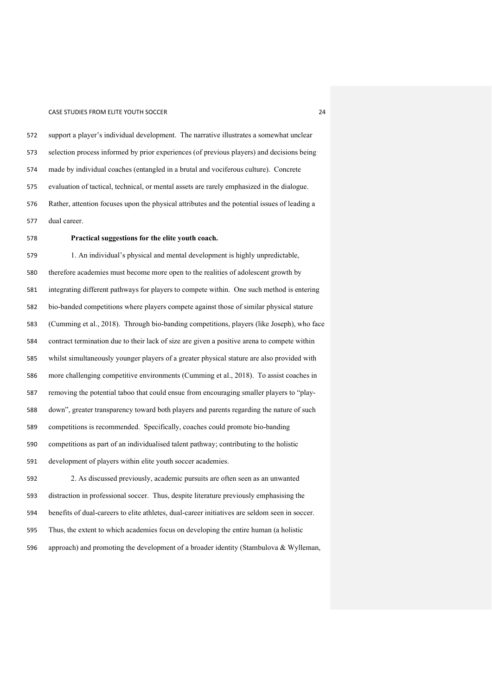support a player's individual development. The narrative illustrates a somewhat unclear selection process informed by prior experiences (of previous players) and decisions being made by individual coaches (entangled in a brutal and vociferous culture). Concrete evaluation of tactical, technical, or mental assets are rarely emphasized in the dialogue. Rather, attention focuses upon the physical attributes and the potential issues of leading a dual career.

### **Practical suggestions for the elite youth coach.**

 1. An individual's physical and mental development is highly unpredictable, therefore academies must become more open to the realities of adolescent growth by integrating different pathways for players to compete within. One such method is entering bio-banded competitions where players compete against those of similar physical stature (Cumming et al., 2018). Through bio-banding competitions, players (like Joseph), who face contract termination due to their lack of size are given a positive arena to compete within whilst simultaneously younger players of a greater physical stature are also provided with more challenging competitive environments (Cumming et al., 2018). To assist coaches in removing the potential taboo that could ensue from encouraging smaller players to "play- down", greater transparency toward both players and parents regarding the nature of such competitions is recommended. Specifically, coaches could promote bio-banding competitions as part of an individualised talent pathway; contributing to the holistic development of players within elite youth soccer academies. 2. As discussed previously, academic pursuits are often seen as an unwanted distraction in professional soccer. Thus, despite literature previously emphasising the benefits of dual-careers to elite athletes, dual-career initiatives are seldom seen in soccer. Thus, the extent to which academies focus on developing the entire human (a holistic

approach) and promoting the development of a broader identity (Stambulova & Wylleman,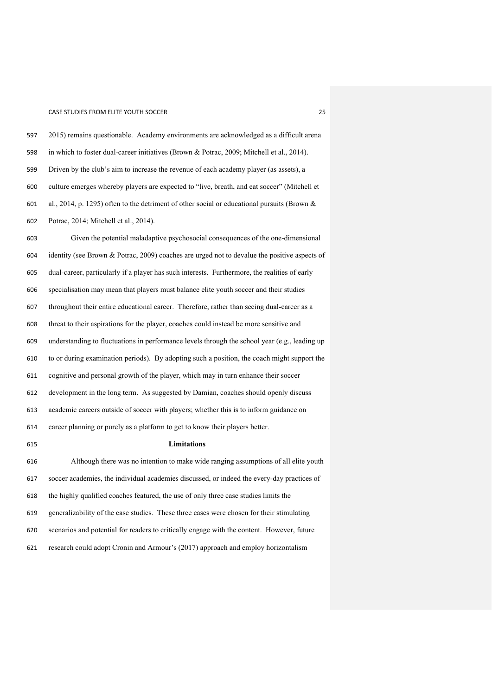2015) remains questionable. Academy environments are acknowledged as a difficult arena in which to foster dual-career initiatives (Brown & Potrac, 2009; Mitchell et al., 2014). Driven by the club's aim to increase the revenue of each academy player (as assets), a culture emerges whereby players are expected to "live, breath, and eat soccer" (Mitchell et al., 2014, p. 1295) often to the detriment of other social or educational pursuits (Brown & Potrac, 2014; Mitchell et al., 2014).

 Given the potential maladaptive psychosocial consequences of the one-dimensional identity (see Brown & Potrac, 2009) coaches are urged not to devalue the positive aspects of dual-career, particularly if a player has such interests. Furthermore, the realities of early specialisation may mean that players must balance elite youth soccer and their studies throughout their entire educational career. Therefore, rather than seeing dual-career as a threat to their aspirations for the player, coaches could instead be more sensitive and understanding to fluctuations in performance levels through the school year (e.g., leading up to or during examination periods). By adopting such a position, the coach might support the cognitive and personal growth of the player, which may in turn enhance their soccer development in the long term. As suggested by Damian, coaches should openly discuss academic careers outside of soccer with players; whether this is to inform guidance on career planning or purely as a platform to get to know their players better. **Limitations**

 Although there was no intention to make wide ranging assumptions of all elite youth soccer academies, the individual academies discussed, or indeed the every-day practices of the highly qualified coaches featured, the use of only three case studies limits the generalizability of the case studies. These three cases were chosen for their stimulating scenarios and potential for readers to critically engage with the content. However, future research could adopt Cronin and Armour's (2017) approach and employ horizontalism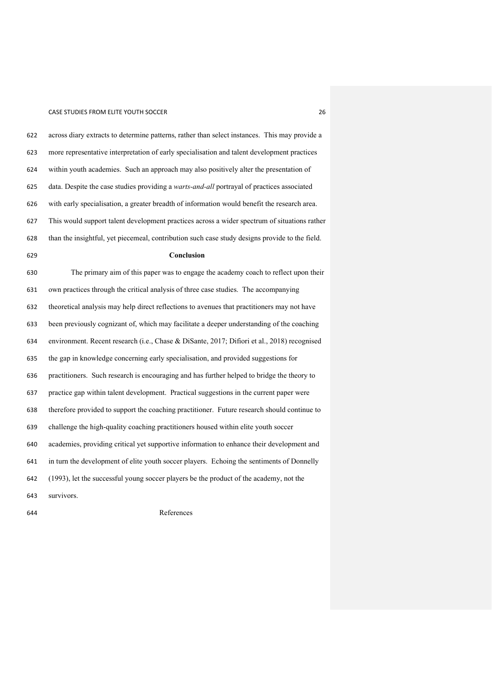| 622 | across diary extracts to determine patterns, rather than select instances. This may provide a  |
|-----|------------------------------------------------------------------------------------------------|
| 623 | more representative interpretation of early specialisation and talent development practices    |
| 624 | within youth academies. Such an approach may also positively alter the presentation of         |
| 625 | data. Despite the case studies providing a warts-and-all portrayal of practices associated     |
| 626 | with early specialisation, a greater breadth of information would benefit the research area.   |
| 627 | This would support talent development practices across a wider spectrum of situations rather   |
| 628 | than the insightful, yet piecemeal, contribution such case study designs provide to the field. |
| 629 | Conclusion                                                                                     |
| 630 | The primary aim of this paper was to engage the academy coach to reflect upon their            |
| 631 | own practices through the critical analysis of three case studies. The accompanying            |
| 632 | theoretical analysis may help direct reflections to avenues that practitioners may not have    |
| 633 | been previously cognizant of, which may facilitate a deeper understanding of the coaching      |
| 634 | environment. Recent research (i.e., Chase & DiSante, 2017; Difiori et al., 2018) recognised    |
| 635 | the gap in knowledge concerning early specialisation, and provided suggestions for             |
| 636 | practitioners. Such research is encouraging and has further helped to bridge the theory to     |
| 637 | practice gap within talent development. Practical suggestions in the current paper were        |
| 638 | therefore provided to support the coaching practitioner. Future research should continue to    |
| 639 | challenge the high-quality coaching practitioners housed within elite youth soccer             |
| 640 | academies, providing critical yet supportive information to enhance their development and      |
| 641 | in turn the development of elite youth soccer players. Echoing the sentiments of Donnelly      |
| 642 | (1993), let the successful young soccer players be the product of the academy, not the         |
| 643 | survivors.                                                                                     |

References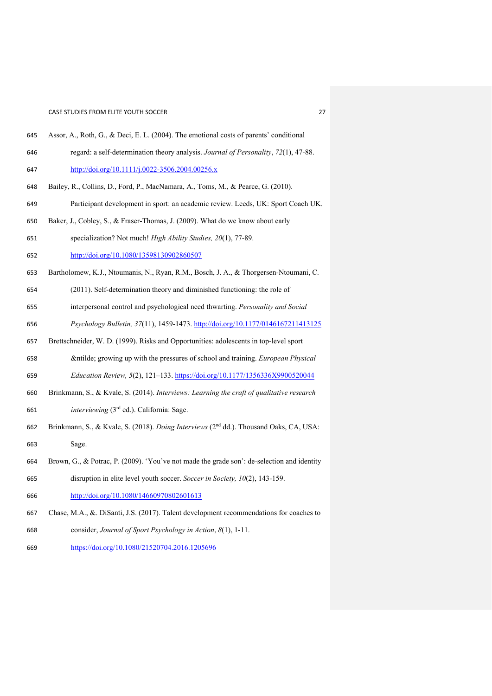- Assor, A., Roth, G., & Deci, E. L. (2004). The emotional costs of parents' conditional
- regard: a self-determination theory analysis. *Journal of Personality*, *72*(1), 47-88. <http://doi.org/10.1111/j.0022-3506.2004.00256.x>
- Bailey, R., Collins, D., Ford, P., MacNamara, A., Toms, M., & Pearce, G. (2010).
- Participant development in sport: an academic review. Leeds, UK: Sport Coach UK.
- Baker, J., Cobley, S., & Fraser-Thomas, J. (2009). What do we know about early
- specialization? Not much! *High Ability Studies, 20*(1), 77-89.
- <http://doi.org/10.1080/13598130902860507>
- Bartholomew, K.J., Ntoumanis, N., Ryan, R.M., Bosch, J. A., & Thorgersen-Ntoumani, C.
- (2011). Self-determination theory and diminished functioning: the role of
- interpersonal control and psychological need thwarting. *Personality and Social*
- *Psychology Bulletin, 37*(11), 1459-1473.<http://doi.org/10.1177/0146167211413125>
- Brettschneider, W. D. (1999). Risks and Opportunities: adolescents in top-level sport
- ñ growing up with the pressures of school and training. *European Physical*
- *Education Review, 5*(2), 121–133. <https://doi.org/10.1177/1356336X9900520044>
- Brinkmann, S., & Kvale, S. (2014). *Interviews: Learning the craft of qualitative research*  661 *interviewing* (3<sup>rd</sup> ed.). California: Sage.
- 662 Brinkmann, S., & Kvale, S. (2018). *Doing Interviews* (2<sup>nd</sup> dd.). Thousand Oaks, CA, USA: Sage.
- Brown, G., & Potrac, P. (2009). 'You've not made the grade son': de-selection and identity
- disruption in elite level youth soccer. *Soccer in Society, 10*(2), 143-159. <http://doi.org/10.1080/14660970802601613>
- Chase, M.A., &. DiSanti, J.S. (2017). Talent development recommendations for coaches to
- consider, *Journal of Sport Psychology in Action*, *8*(1), 1-11.
- <https://doi.org/10.1080/21520704.2016.1205696>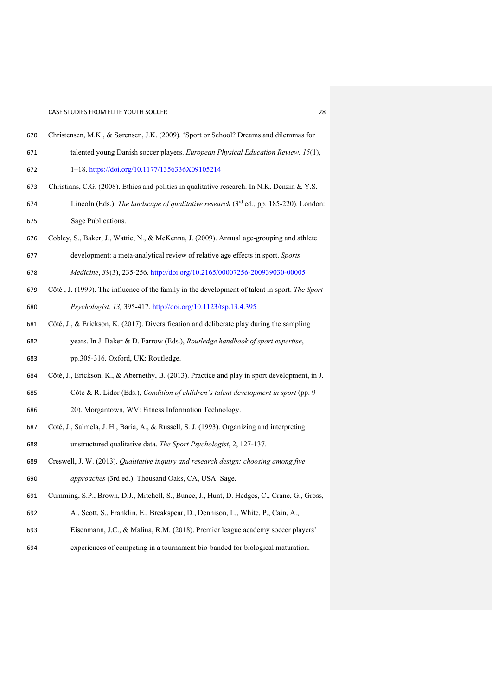- Christensen, M.K., & Sørensen, J.K. (2009). 'Sport or School? Dreams and dilemmas for talented young Danish soccer players. *European Physical Education Review, 15*(1),
- 1–18.<https://doi.org/10.1177/1356336X09105214>
- Christians, C.G. (2008). Ethics and politics in qualitative research. In N.K. Denzin & Y.S.
- 674 Lincoln (Eds.), *The landscape of qualitative research* (3<sup>rd</sup> ed., pp. 185-220). London: Sage Publications.
- Cobley, S., Baker, J., Wattie, N., & McKenna, J. (2009). Annual age-grouping and athlete
- development: a meta-analytical review of relative age effects in sport. *Sports*
- *Medicine*, *39*(3), 235-256. <http://doi.org/10.2165/00007256-200939030-00005>
- Côté , J. (1999). The influence of the family in the development of talent in sport. *The Sport Psychologist, 13,* 395-417. <http://doi.org/10.1123/tsp.13.4.395>
- Côté, J., & Erickson, K. (2017). Diversification and deliberate play during the sampling years. In J. Baker & D. Farrow (Eds.), *Routledge handbook of sport expertise*,
- pp.305-316. Oxford, UK: Routledge.
- Côté, J., Erickson, K., & Abernethy, B. (2013). Practice and play in sport development, in J.
- Côté & R. Lidor (Eds.), *Condition of children's talent development in sport* (pp. 9- 20). Morgantown, WV: Fitness Information Technology.
- Coté, J., Salmela, J. H., Baria, A., & Russell, S. J. (1993). Organizing and interpreting unstructured qualitative data. *The Sport Psychologist*, 2, 127-137.
- Creswell, J. W. (2013). *Qualitative inquiry and research design: choosing among five approaches* (3rd ed.). Thousand Oaks, CA, USA: Sage.
- Cumming, S.P., Brown, D.J., Mitchell, S., Bunce, J., Hunt, D. Hedges, C., Crane, G., Gross,
- A., Scott, S., Franklin, E., Breakspear, D., Dennison, L., White, P., Cain, A.,
- Eisenmann, J.C., & Malina, R.M. (2018). Premier league academy soccer players'
- experiences of competing in a tournament bio-banded for biological maturation.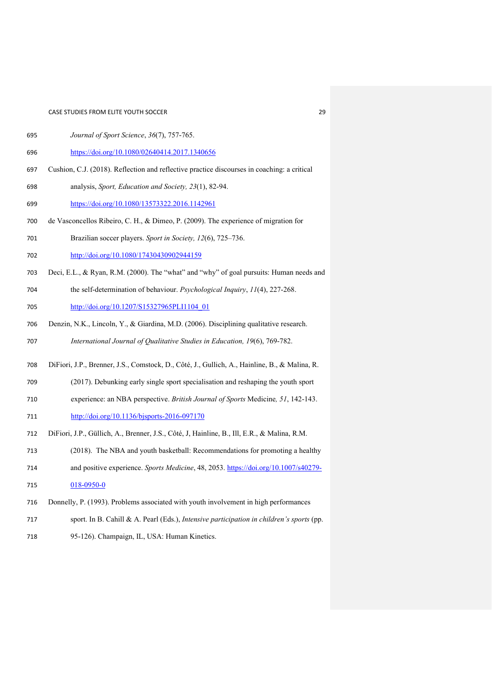- *Journal of Sport Science*, *36*(7), 757-765.
- <https://doi.org/10.1080/02640414.2017.1340656>
- Cushion, C.J. (2018). Reflection and reflective practice discourses in coaching: a critical
- analysis, *Sport, Education and Society, 23*(1), 82-94.
- <https://doi.org/10.1080/13573322.2016.1142961>
- de Vasconcellos Ribeiro, C. H., & Dimeo, P. (2009). The experience of migration for
- Brazilian soccer players. *Sport in Society, 12*(6), 725–736.
- <http://doi.org/10.1080/17430430902944159>
- Deci, E.L., & Ryan, R.M. (2000). The "what" and "why" of goal pursuits: Human needs and
- the self-determination of behaviour. *Psychological Inquiry*, *11*(4), 227-268.
- [http://doi.org/10.1207/S15327965PLI1104\\_01](http://doi.org/10.1207/S15327965PLI1104_01)
- Denzin, N.K., Lincoln, Y., & Giardina, M.D. (2006). Disciplining qualitative research. *International Journal of Qualitative Studies in Education, 19*(6), 769-782.
- DiFiori, J.P., Brenner, J.S., Comstock, D., Côté, J., Gullich, A., Hainline, B., & Malina, R.
- (2017). Debunking early single sport specialisation and reshaping the youth sport
- experience: an NBA perspective. *British Journal of Sports* Medicine*, 51*, 142-143. <http://doi.org/10.1136/bjsports-2016-097170>
- DiFiori, J.P., Güllich, A., Brenner, J.S., Côté, J, Hainline, B., Ill, E.R., & Malina, R.M.
- (2018). The NBA and youth basketball: Recommendations for promoting a healthy
- and positive experience. *Sports Medicine*, 48, 2053. [https://doi.org/10.1007/s40279-](https://doi.org/10.1007/s40279-018-0950-0)
- [018-0950-0](https://doi.org/10.1007/s40279-018-0950-0)
- Donnelly, P. (1993). Problems associated with youth involvement in high performances
- sport. In B. Cahill & A. Pearl (Eds.), *Intensive participation in children's sports* (pp.
- 95-126). Champaign, IL, USA: Human Kinetics.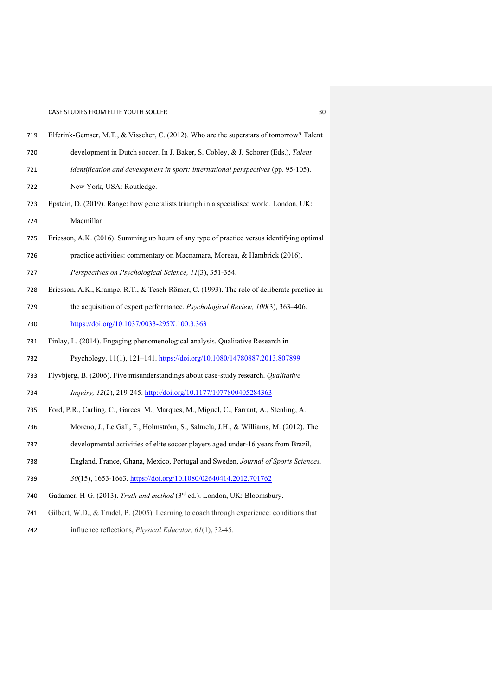| 719 | Elferink-Gemser, M.T., & Visscher, C. (2012). Who are the superstars of tomorrow? Talent   |
|-----|--------------------------------------------------------------------------------------------|
| 720 | development in Dutch soccer. In J. Baker, S. Cobley, & J. Schorer (Eds.), Talent           |
| 721 | identification and development in sport: international perspectives (pp. 95-105).          |
| 722 | New York, USA: Routledge.                                                                  |
| 723 | Epstein, D. (2019). Range: how generalists triumph in a specialised world. London, UK:     |
| 724 | Macmillan                                                                                  |
| 725 | Ericsson, A.K. (2016). Summing up hours of any type of practice versus identifying optimal |
| 726 | practice activities: commentary on Macnamara, Moreau, & Hambrick (2016).                   |
| 727 | Perspectives on Psychological Science, 11(3), 351-354.                                     |
| 728 | Ericsson, A.K., Krampe, R.T., & Tesch-Römer, C. (1993). The role of deliberate practice in |
| 729 | the acquisition of expert performance. Psychological Review, 100(3), 363-406.              |
| 730 | https://doi.org/10.1037/0033-295X.100.3.363                                                |
| 731 | Finlay, L. (2014). Engaging phenomenological analysis. Qualitative Research in             |
| 732 | Psychology, 11(1), 121-141. https://doi.org/10.1080/14780887.2013.807899                   |
| 733 | Flyvbjerg, B. (2006). Five misunderstandings about case-study research. Qualitative        |
| 734 | Inquiry, 12(2), 219-245. http://doi.org/10.1177/1077800405284363                           |
| 735 | Ford, P.R., Carling, C., Garces, M., Marques, M., Miguel, C., Farrant, A., Stenling, A.,   |
| 736 | Moreno, J., Le Gall, F., Holmström, S., Salmela, J.H., & Williams, M. (2012). The          |
| 737 | developmental activities of elite soccer players aged under-16 years from Brazil,          |
| 738 | England, France, Ghana, Mexico, Portugal and Sweden, Journal of Sports Sciences,           |
| 739 | 30(15), 1653-1663. https://doi.org/10.1080/02640414.2012.701762                            |
| 740 | Gadamer, H-G. (2013). Truth and method (3rd ed.). London, UK: Bloomsbury.                  |
| 741 | Gilbert, W.D., & Trudel, P. (2005). Learning to coach through experience: conditions that  |

influence reflections, *Physical Educator, 61*(1), 32-45.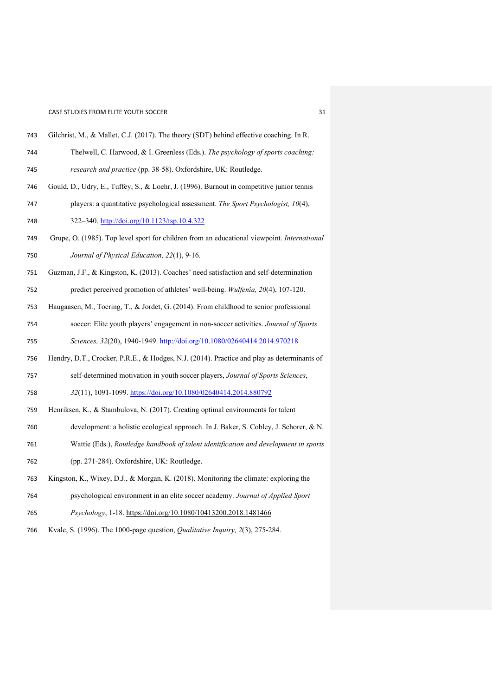- Gilchrist, M., & Mallet, C.J. (2017). The theory (SDT) behind effective coaching. In R.
- Thelwell, C. Harwood, & I. Greenless (Eds.). *The psychology of sports coaching: research and practice* (pp. 38-58). Oxfordshire, UK: Routledge.
- Gould, D., Udry, E., Tuffey, S., & Loehr, J. (1996). Burnout in competitive junior tennis
- players: a quantitative psychological assessment. *The Sport Psychologist, 10*(4), 322–340. <http://doi.org/10.1123/tsp.10.4.322>
- Grupe, O. (1985). Top level sport for children from an educational viewpoint. *International Journal of Physical Education, 22*(1), 9-16.
- Guzman, J.F., & Kingston, K. (2013). Coaches' need satisfaction and self-determination
- predict perceived promotion of athletes' well-being. *Wulfenia, 20*(4), 107-120.
- Haugaasen, M., Toering, T., & Jordet, G. (2014). From childhood to senior professional
- soccer: Elite youth players' engagement in non-soccer activities. *Journal of Sports Sciences, 32*(20), 1940-1949. <http://doi.org/10.1080/02640414.2014.970218>
- Hendry, D.T., Crocker, P.R.E., & Hodges, N.J. (2014). Practice and play as determinants of
- self-determined motivation in youth soccer players, *Journal of Sports Sciences*,
- *32*(11), 1091-1099. <https://doi.org/10.1080/02640414.2014.880792>
- Henriksen, K., & Stambulova, N. (2017). Creating optimal environments for talent
- development: a holistic ecological approach. In J. Baker, S. Cobley, J. Schorer, & N.
- Wattie (Eds.), *Routledge handbook of talent identification and development in sports*
- (pp. 271-284). Oxfordshire, UK: Routledge.
- Kingston, K., Wixey, D.J., & Morgan, K. (2018). Monitoring the climate: exploring the
- psychological environment in an elite soccer academy. *Journal of Applied Sport*
- *Psychology*, 1-18.<https://doi.org/10.1080/10413200.2018.1481466>
- Kvale, S. (1996). The 1000-page question, *Qualitative Inquiry, 2*(3), 275-284.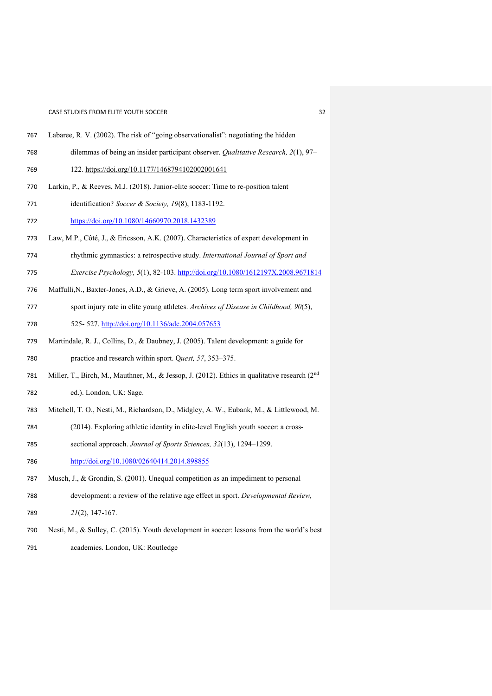- Labaree, R. V. (2002). The risk of "going observationalist": negotiating the hidden
- dilemmas of being an insider participant observer. *Qualitative Research, 2*(1), 97–
- 122.<https://doi.org/10.1177/1468794102002001641>
- Larkin, P., & Reeves, M.J. (2018). Junior-elite soccer: Time to re-position talent
- identification? *Soccer & Society, 19*(8), 1183-1192.
- <https://doi.org/10.1080/14660970.2018.1432389>
- Law, M.P., Côté, J., & Ericsson, A.K. (2007). Characteristics of expert development in
- rhythmic gymnastics: a retrospective study. *International Journal of Sport and*
- *Exercise Psychology, 5*(1), 82-103.<http://doi.org/10.1080/1612197X.2008.9671814>
- Maffulli,N., Baxter-Jones, A.D., & Grieve, A. (2005). Long term sport involvement and
- sport injury rate in elite young athletes. *Archives of Disease in Childhood, 90*(5), 525- 527. <http://doi.org/10.1136/adc.2004.057653>
- Martindale, R. J., Collins, D., & Daubney, J. (2005). Talent development: a guide for
- practice and research within sport. Q*uest, 57*, 353–375.
- 781 Miller, T., Birch, M., Mauthner, M., & Jessop, J. (2012). Ethics in qualitative research (2<sup>nd</sup>
- ed.). London, UK: Sage.
- Mitchell, T. O., Nesti, M., Richardson, D., Midgley, A. W., Eubank, M., & Littlewood, M.
- (2014). Exploring athletic identity in elite-level English youth soccer: a cross-
- sectional approach. *Journal of Sports Sciences, 32*(13), 1294–1299.
- <http://doi.org/10.1080/02640414.2014.898855>
- Musch, J., & Grondin, S. (2001). Unequal competition as an impediment to personal
- development: a review of the relative age effect in sport. *Developmental Review,*
- *21*(2), 147-167.
- Nesti, M., & Sulley, C. (2015). Youth development in soccer: lessons from the world's best
- academies. London, UK: Routledge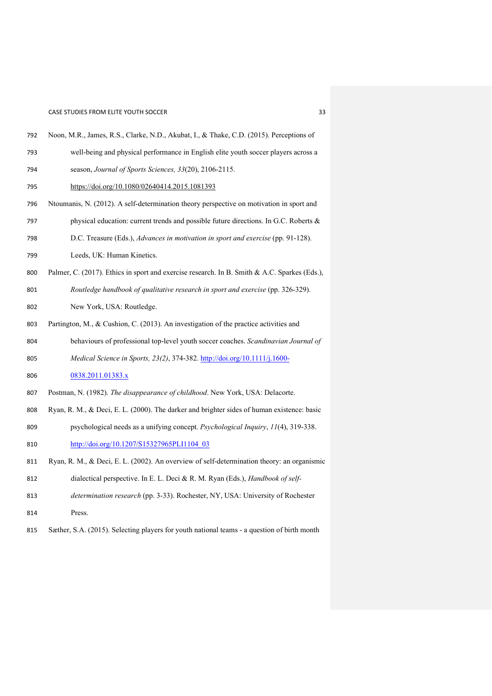- Noon, M.R., James, R.S., Clarke, N.D., Akubat, I., & Thake, C.D. (2015). Perceptions of
- well-being and physical performance in English elite youth soccer players across a season, *Journal of Sports Sciences, 33*(20), 2106-2115.
- <https://doi.org/10.1080/02640414.2015.1081393>
- Ntoumanis, N. (2012). A self-determination theory perspective on motivation in sport and physical education: current trends and possible future directions. In G.C. Roberts &
- D.C. Treasure (Eds.), *Advances in motivation in sport and exercise* (pp. 91-128).
- Leeds, UK: Human Kinetics.
- 800 Palmer, C. (2017). Ethics in sport and exercise research. In B. Smith & A.C. Sparkes (Eds.),
- *Routledge handbook of qualitative research in sport and exercise* (pp. 326-329). New York, USA: Routledge.
- Partington, M., & Cushion, C. (2013). An investigation of the practice activities and
- behaviours of professional top-level youth soccer coaches. *Scandinavian Journal of*
- *Medical Science in Sports, 23(2)*, 374-382. [http://doi.org/10.1111/j.1600-](http://doi.org/10.1111/j.1600-0838.2011.01383.x)
- [0838.2011.01383.x](http://doi.org/10.1111/j.1600-0838.2011.01383.x)
- Postman, N. (1982). *The disappearance of childhood*. New York, USA: Delacorte.
- Ryan, R. M., & Deci, E. L. (2000). The darker and brighter sides of human existence: basic psychological needs as a unifying concept. *Psychological Inquiry*, *11*(4), 319-338. [http://doi.org/10.1207/S15327965PLI1104\\_03](http://doi.org/10.1207/S15327965PLI1104_03)
- Ryan, R. M., & Deci, E. L. (2002). An overview of self-determination theory: an organismic
- dialectical perspective. In E. L. Deci & R. M. Ryan (Eds.), *Handbook of self-*
- *determination research* (pp. 3-33). Rochester, NY, USA: University of Rochester
- Press.
- Sæther, S.A. (2015). Selecting players for youth national teams a question of birth month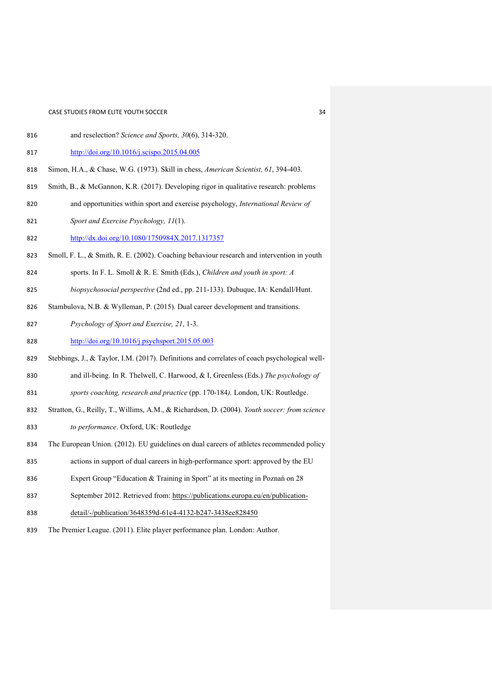- and reselection? *Science and Sports, 30*(6), 314-320.
- <http://doi.org/10.1016/j.scispo.2015.04.005>
- Simon, H.A., & Chase, W.G. (1973). Skill in chess, *American Scientist, 61*, 394-403.
- Smith, B., & McGannon, K.R. (2017). Developing rigor in qualitative research: problems
- and opportunities within sport and exercise psychology, *International Review of*
- *Sport and Exercise Psychology, 11*(1).
- <http://dx.doi.org/10.1080/1750984X.2017.1317357>
- Smoll, F. L., & Smith, R. E. (2002). Coaching behaviour research and intervention in youth
- sports. In F. L. Smoll & R. E. Smith (Eds.), *Children and youth in sport: A*
- *biopsychosocial perspective* (2nd ed., pp. 211-133). Dubuque, IA: Kendall/Hunt.
- Stambulova, N.B. & Wylleman, P. (2015). Dual career development and transitions.
- *Psychology of Sport and Exercise, 21*, 1-3.
- <http://doi.org/10.1016/j.psychsport.2015.05.003>
- Stebbings, J., & Taylor, I.M. (2017). Definitions and correlates of coach psychological well-
- and ill-being. In R. Thelwell, C. Harwood, & I, Greenless (Eds.) *The psychology of*
- *sports coaching, research and practice* (pp. 170-184*).* London, UK: Routledge.
- Stratton, G., Reilly, T., Willims, A.M., & Richardson, D. (2004). *Youth soccer: from science to performance*. Oxford, UK: Routledge
- The European Union. (2012). EU guidelines on dual careers of athletes recommended policy
- actions in support of dual careers in high-performance sport: approved by the EU
- Expert Group "Education & Training in Sport" at its meeting in Poznań on 28
- 837 September 2012. Retrieved from: [https://publications.europa.eu/en/publication-](https://publications.europa.eu/en/publication-detail/-/publication/3648359d-61c4-4132-b247-3438ee828450)
- [detail/-/publication/3648359d-61c4-4132-b247-3438ee828450](https://publications.europa.eu/en/publication-detail/-/publication/3648359d-61c4-4132-b247-3438ee828450)
- The Premier League. (2011). Elite player performance plan. London: Author.